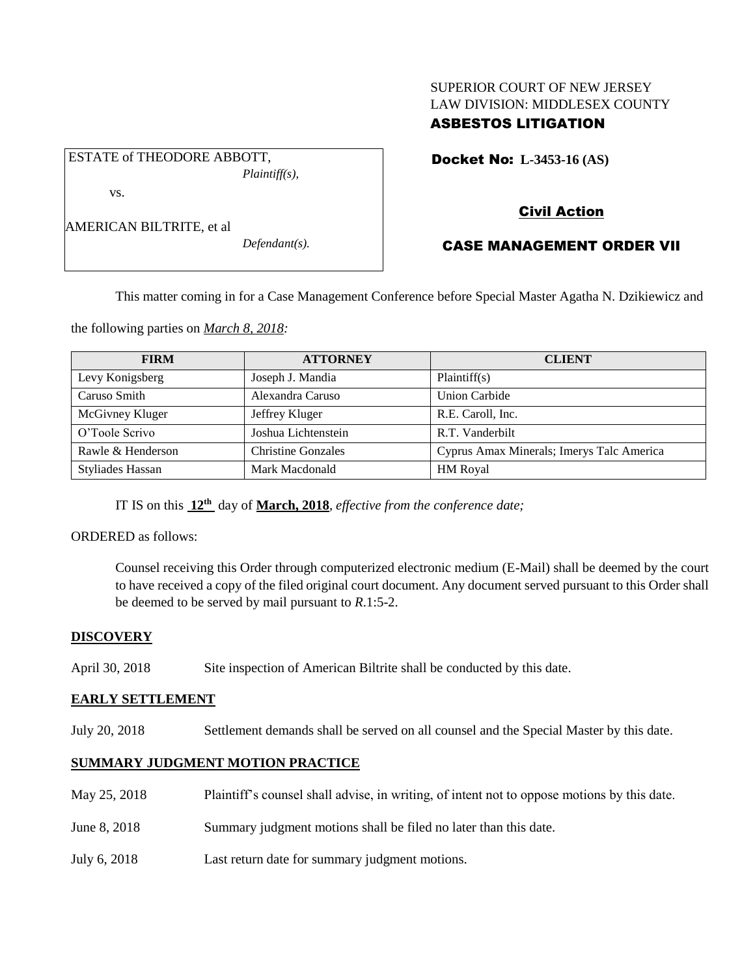# SUPERIOR COURT OF NEW JERSEY LAW DIVISION: MIDDLESEX COUNTY

## ASBESTOS LITIGATION

Docket No: **L-3453-16 (AS)** 

vs.

AMERICAN BILTRITE, et al

ESTATE of THEODORE ABBOTT,

*Defendant(s).*

*Plaintiff(s),*

## Civil Action

## CASE MANAGEMENT ORDER VII

This matter coming in for a Case Management Conference before Special Master Agatha N. Dzikiewicz and

the following parties on *March 8, 2018:*

| <b>FIRM</b>             | <b>ATTORNEY</b>           | <b>CLIENT</b>                             |
|-------------------------|---------------------------|-------------------------------------------|
| Levy Konigsberg         | Joseph J. Mandia          | Plaintiff(s)                              |
| Caruso Smith            | Alexandra Caruso          | <b>Union Carbide</b>                      |
| McGivney Kluger         | Jeffrey Kluger            | R.E. Caroll, Inc.                         |
| O'Toole Scrivo          | Joshua Lichtenstein       | R.T. Vanderbilt                           |
| Rawle & Henderson       | <b>Christine Gonzales</b> | Cyprus Amax Minerals; Imerys Talc America |
| <b>Styliades Hassan</b> | Mark Macdonald            | <b>HM Royal</b>                           |

IT IS on this **12th** day of **March, 2018**, *effective from the conference date;*

ORDERED as follows:

Counsel receiving this Order through computerized electronic medium (E-Mail) shall be deemed by the court to have received a copy of the filed original court document. Any document served pursuant to this Order shall be deemed to be served by mail pursuant to *R*.1:5-2.

## **DISCOVERY**

April 30, 2018 Site inspection of American Biltrite shall be conducted by this date.

## **EARLY SETTLEMENT**

July 20, 2018 Settlement demands shall be served on all counsel and the Special Master by this date.

## **SUMMARY JUDGMENT MOTION PRACTICE**

- May 25, 2018 Plaintiff's counsel shall advise, in writing, of intent not to oppose motions by this date.
- June 8, 2018 Summary judgment motions shall be filed no later than this date.
- July 6, 2018 Last return date for summary judgment motions.